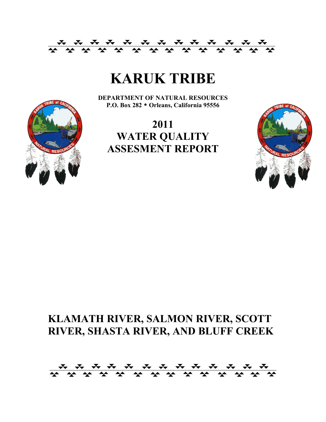

# **KARUK TRIBE**

**DEPARTMENT OF NATURAL RESOURCES P.O. Box 282 \* Orleans, California 95556**



### **2011 WATER QUALITY ASSESMENT REPORT**



### **KLAMATH RIVER, SALMON RIVER, SCOTT RIVER, SHASTA RIVER, AND BLUFF CREEK**

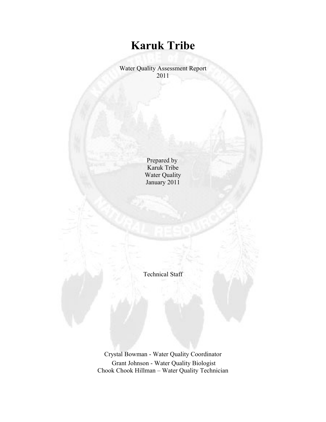## **Karuk Tribe**

Water Quality Assessment Report 2011

> Prepared by Karuk Tribe Water Quality January 2011

Technical Staff

Crystal Bowman - Water Quality Coordinator Grant Johnson - Water Quality Biologist Chook Chook Hillman – Water Quality Technician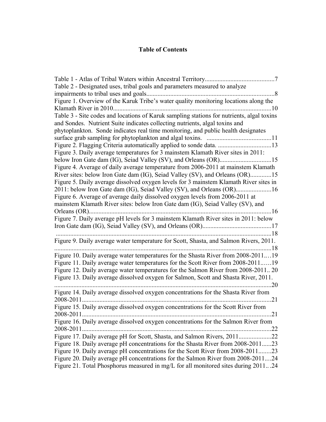#### **Table of Contents**

| Table 2 - Designated uses, tribal goals and parameters measured to analyze                |     |
|-------------------------------------------------------------------------------------------|-----|
|                                                                                           | . 8 |
| Figure 1. Overview of the Karuk Tribe's water quality monitoring locations along the      |     |
| Klamath River in 2010.                                                                    | 10  |
| Table 3 - Site codes and locations of Karuk sampling stations for nutrients, algal toxins |     |
| and Sondes. Nutrient Suite indicates collecting nutrients, algal toxins and               |     |
| phytoplankton. Sonde indicates real time monitoring, and public health designates         |     |
|                                                                                           |     |
|                                                                                           |     |
| Figure 3. Daily average temperatures for 3 mainstem Klamath River sites in 2011:          |     |
|                                                                                           |     |
| Figure 4. Average of daily average temperature from 2006-2011 at mainstem Klamath         |     |
| River sites: below Iron Gate dam (IG), Seiad Valley (SV), and Orleans (OR)15              |     |
| Figure 5. Daily average dissolved oxygen levels for 3 mainstem Klamath River sites in     |     |
| 2011: below Iron Gate dam (IG), Seiad Valley (SV), and Orleans (OR)16                     |     |
| Figure 6. Average of average daily dissolved oxygen levels from 2006-2011 at              |     |
| mainstem Klamath River sites: below Iron Gate dam (IG), Seiad Valley (SV), and            |     |
| 16<br>Orleans (OR)                                                                        |     |
| Figure 7. Daily average pH levels for 3 mainstem Klamath River sites in 2011: below       |     |
|                                                                                           |     |
|                                                                                           |     |
| Figure 9. Daily average water temperature for Scott, Shasta, and Salmon Rivers, 2011.     |     |
|                                                                                           | .18 |
| Figure 10. Daily average water temperatures for the Shasta River from 2008-201119         |     |
| Figure 11. Daily average water temperatures for the Scott River from 2008-201119          |     |
| Figure 12. Daily average water temperatures for the Salmon River from 2008-2011 20        |     |
| Figure 13. Daily average dissolved oxygen for Salmon, Scott and Shasta River, 2011.       |     |
| 20                                                                                        |     |
| Figure 14. Daily average dissolved oxygen concentrations for the Shasta River from        |     |
| 2008-2011                                                                                 | .21 |
| Figure 15. Daily average dissolved oxygen concentrations for the Scott River from         |     |
| . 21                                                                                      |     |
| Figure 16. Daily average dissolved oxygen concentrations for the Salmon River from        |     |
|                                                                                           |     |
| Figure 17. Daily average pH for Scott, Shasta, and Salmon Rivers, 201122                  |     |
| Figure 18. Daily average pH concentrations for the Shasta River from 2008-201123          |     |
| Figure 19. Daily average pH concentrations for the Scott River from 2008-201123           |     |
| Figure 20. Daily average pH concentrations for the Salmon River from 2008-201124          |     |
| Figure 21. Total Phosphorus measured in mg/L for all monitored sites during 201124        |     |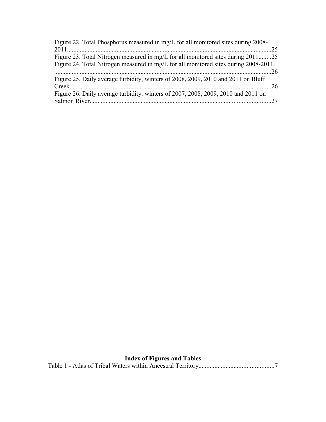| Figure 22. Total Phosphorus measured in mg/L for all monitored sites during 2008-    |  |
|--------------------------------------------------------------------------------------|--|
|                                                                                      |  |
| Figure 23. Total Nitrogen measured in mg/L for all monitored sites during 201125     |  |
| Figure 24. Total Nitrogen measured in mg/L for all monitored sites during 2008-2011. |  |
|                                                                                      |  |
| Figure 25. Daily average turbidity, winters of 2008, 2009, 2010 and 2011 on Bluff    |  |
|                                                                                      |  |
| Figure 26. Daily average turbidity, winters of 2007, 2008, 2009, 2010 and 2011 on    |  |
|                                                                                      |  |
|                                                                                      |  |

### **Index of Figures and Tables**

|--|--|--|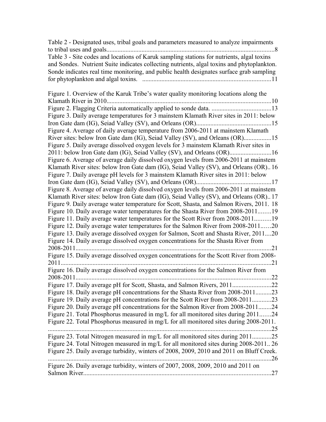| Table 2 - Designated uses, tribal goals and parameters measured to analyze impairments     |
|--------------------------------------------------------------------------------------------|
|                                                                                            |
| Table 3 - Site codes and locations of Karuk sampling stations for nutrients, algal toxins  |
| and Sondes. Nutrient Suite indicates collecting nutrients, algal toxins and phytoplankton. |
| Sonde indicates real time monitoring, and public health designates surface grab sampling   |
|                                                                                            |

| Figure 1. Overview of the Karuk Tribe's water quality monitoring locations along the     |
|------------------------------------------------------------------------------------------|
| Klamath River in 2010                                                                    |
|                                                                                          |
| Figure 3. Daily average temperatures for 3 mainstem Klamath River sites in 2011: below   |
|                                                                                          |
| Figure 4. Average of daily average temperature from 2006-2011 at mainstem Klamath        |
| River sites: below Iron Gate dam (IG), Seiad Valley (SV), and Orleans (OR)15             |
| Figure 5. Daily average dissolved oxygen levels for 3 mainstem Klamath River sites in    |
| 2011: below Iron Gate dam (IG), Seiad Valley (SV), and Orleans (OR)16                    |
| Figure 6. Average of average daily dissolved oxygen levels from 2006-2011 at mainstem    |
| Klamath River sites: below Iron Gate dam (IG), Seiad Valley (SV), and Orleans (OR). 16   |
| Figure 7. Daily average pH levels for 3 mainstem Klamath River sites in 2011: below      |
|                                                                                          |
| Figure 8. Average of average daily dissolved oxygen levels from 2006-2011 at mainstem    |
| Klamath River sites: below Iron Gate dam (IG), Seiad Valley (SV), and Orleans (OR)17     |
| Figure 9. Daily average water temperature for Scott, Shasta, and Salmon Rivers, 2011. 18 |
| Figure 10. Daily average water temperatures for the Shasta River from 2008-201119        |
| Figure 11. Daily average water temperatures for the Scott River from 2008-201119         |
| Figure 12. Daily average water temperatures for the Salmon River from 2008-201120        |
| Figure 13. Daily average dissolved oxygen for Salmon, Scott and Shasta River, 201120     |
| Figure 14. Daily average dissolved oxygen concentrations for the Shasta River from       |
| 2008-2011.<br>.21                                                                        |
| Figure 15. Daily average dissolved oxygen concentrations for the Scott River from 2008-  |
| .21                                                                                      |
| Figure 16. Daily average dissolved oxygen concentrations for the Salmon River from       |
| .22<br>2008-2011                                                                         |
|                                                                                          |
| Figure 18. Daily average pH concentrations for the Shasta River from 2008-201123         |
| Figure 19. Daily average pH concentrations for the Scott River from 2008-201123          |
| Figure 20. Daily average pH concentrations for the Salmon River from 2008-201124         |
| Figure 21. Total Phosphorus measured in mg/L for all monitored sites during 201124       |
| Figure 22. Total Phosphorus measured in mg/L for all monitored sites during 2008-2011.   |
| 25                                                                                       |
| Figure 23. Total Nitrogen measured in mg/L for all monitored sites during 201125         |
| Figure 24. Total Nitrogen measured in mg/L for all monitored sites during 2008-2011. 26  |
| Figure 25. Daily average turbidity, winters of 2008, 2009, 2010 and 2011 on Bluff Creek. |
| .26                                                                                      |
| Figure 26. Daily average turbidity, winters of 2007, 2008, 2009, 2010 and 2011 on        |
| 27                                                                                       |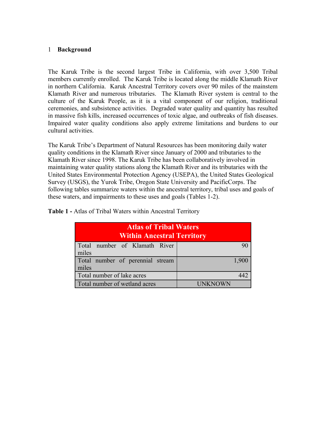#### 1 **Background**

The Karuk Tribe is the second largest Tribe in California, with over 3,500 Tribal members currently enrolled. The Karuk Tribe is located along the middle Klamath River in northern California. Karuk Ancestral Territory covers over 90 miles of the mainstem Klamath River and numerous tributaries. The Klamath River system is central to the culture of the Karuk People, as it is a vital component of our religion, traditional ceremonies, and subsistence activities. Degraded water quality and quantity has resulted in massive fish kills, increased occurrences of toxic algae, and outbreaks of fish diseases. Impaired water quality conditions also apply extreme limitations and burdens to our cultural activities.

The Karuk Tribe's Department of Natural Resources has been monitoring daily water quality conditions in the Klamath River since January of 2000 and tributaries to the Klamath River since 1998. The Karuk Tribe has been collaboratively involved in maintaining water quality stations along the Klamath River and its tributaries with the United States Environmental Protection Agency (USEPA), the United States Geological Survey (USGS), the Yurok Tribe, Oregon State University and PacificCorps. The following tables summarize waters within the ancestral territory, tribal uses and goals of these waters, and impairments to these uses and goals (Tables 1-2).

**Table 1 -** Atlas of Tribal Waters within Ancestral Territory

| <b>Atlas of Tribal Waters</b><br><b>Within Ancestral Territory</b> |         |  |  |  |  |  |
|--------------------------------------------------------------------|---------|--|--|--|--|--|
| Total number of Klamath River<br>miles                             |         |  |  |  |  |  |
| Total number of perennial stream<br>miles                          | 1,900   |  |  |  |  |  |
| Total number of lake acres                                         |         |  |  |  |  |  |
| Total number of wetland acres                                      | UNKNOWN |  |  |  |  |  |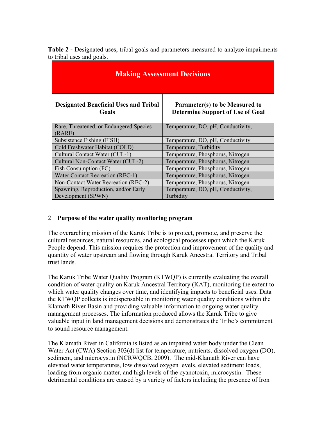| <b>Table 2 -</b> Designated uses, tribal goals and parameters measured to analyze impairments |  |  |  |
|-----------------------------------------------------------------------------------------------|--|--|--|
| to tribal uses and goals.                                                                     |  |  |  |

| <b>Making Assessment Decisions</b>                         |                                                                           |  |  |  |  |  |  |  |
|------------------------------------------------------------|---------------------------------------------------------------------------|--|--|--|--|--|--|--|
| <b>Designated Beneficial Uses and Tribal</b><br>Goals      | Parameter(s) to be Measured to<br><b>Determine Support of Use of Goal</b> |  |  |  |  |  |  |  |
| Rare, Threatened, or Endangered Species<br>(RARE)          | Temperature, DO, pH, Conductivity,                                        |  |  |  |  |  |  |  |
| Subsistence Fishing (FISH)                                 | Temperature, DO, pH, Conductivity                                         |  |  |  |  |  |  |  |
| Cold Freshwater Habitat (COLD)                             | Temperature, Turbidity                                                    |  |  |  |  |  |  |  |
| Cultural Contact Water (CUL-1)                             | Temperature, Phosphorus, Nitrogen                                         |  |  |  |  |  |  |  |
| Cultural Non-Contact Water (CUL-2)                         | Temperature, Phosphorus, Nitrogen                                         |  |  |  |  |  |  |  |
| Fish Consumption (FC)                                      | Temperature, Phosphorus, Nitrogen                                         |  |  |  |  |  |  |  |
| Water Contact Recreation (REC-1)                           | Temperature, Phosphorus, Nitrogen                                         |  |  |  |  |  |  |  |
| Non-Contact Water Recreation (REC-2)                       | Temperature, Phosphorus, Nitrogen                                         |  |  |  |  |  |  |  |
| Spawning, Reproduction, and/or Early<br>Development (SPWN) | Temperature, DO, pH, Conductivity,<br>Turbidity                           |  |  |  |  |  |  |  |

#### 2 **Purpose of the water quality monitoring program**

The overarching mission of the Karuk Tribe is to protect, promote, and preserve the cultural resources, natural resources, and ecological processes upon which the Karuk People depend. This mission requires the protection and improvement of the quality and quantity of water upstream and flowing through Karuk Ancestral Territory and Tribal trust lands.

The Karuk Tribe Water Quality Program (KTWQP) is currently evaluating the overall condition of water quality on Karuk Ancestral Territory (KAT), monitoring the extent to which water quality changes over time, and identifying impacts to beneficial uses. Data the KTWQP collects is indispensable in monitoring water quality conditions within the Klamath River Basin and providing valuable information to ongoing water quality management processes. The information produced allows the Karuk Tribe to give valuable input in land management decisions and demonstrates the Tribe's commitment to sound resource management.

The Klamath River in California is listed as an impaired water body under the Clean Water Act (CWA) Section 303(d) list for temperature, nutrients, dissolved oxygen (DO), sediment, and microcystin (NCRWQCB, 2009). The mid-Klamath River can have elevated water temperatures, low dissolved oxygen levels, elevated sediment loads, loading from organic matter, and high levels of the cyanotoxin, microcystin. These detrimental conditions are caused by a variety of factors including the presence of Iron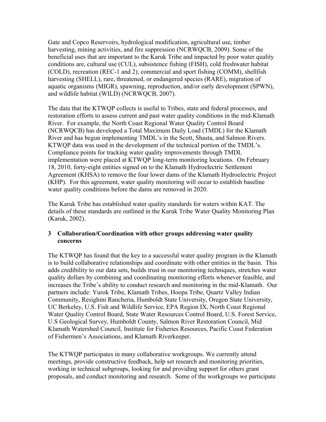Gate and Copco Reservoirs, hydrological modification, agricultural use, timber harvesting, mining activities, and fire suppression (NCRWQCB, 2009). Some of the beneficial uses that are important to the Karuk Tribe and impacted by poor water quality conditions are, cultural use (CUL), subsistence fishing (FISH), cold freshwater habitat (COLD), recreation (REC-1 and 2), commercial and sport fishing (COMM), shellfish harvesting (SHELL), rare, threatened, or endangered species (RARE), migration of aquatic organisms (MIGR), spawning, reproduction, and/or early development (SPWN), and wildlife habitat (WILD) (NCRWQCB, 2007).

The data that the KTWQP collects is useful to Tribes, state and federal processes, and restoration efforts to assess current and past water quality conditions in the mid-Klamath River. For example, the North Coast Regional Water Quality Control Board (NCRWQCB) has developed a Total Maximum Daily Load (TMDL) for the Klamath River and has begun implementing TMDL's in the Scott, Shasta, and Salmon Rivers. KTWQP data was used in the development of the technical portion of the TMDL's. Compliance points for tracking water quality improvements through TMDL implementation were placed at KTWQP long-term monitoring locations. On February 18, 2010, forty-eight entities signed on to the Klamath Hydroelectric Settlement Agreement (KHSA) to remove the four lower dams of the Klamath Hydroelectric Project (KHP). For this agreement, water quality monitoring will occur to establish baseline water quality conditions before the dams are removed in 2020.

The Karuk Tribe has established water quality standards for waters within KAT. The details of these standards are outlined in the Karuk Tribe Water Quality Monitoring Plan (Karuk, 2002).

#### **3 Collaboration/Coordination with other groups addressing water quality concerns**

The KTWQP has found that the key to a successful water quality program in the Klamath is to build collaborative relationships and coordinate with other entities in the basin. This adds credibility to our data sets, builds trust in our monitoring techniques, stretches water quality dollars by combining and coordinating monitoring efforts whenever feasible, and increases the Tribe's ability to conduct research and monitoring in the mid-Klamath. Our partners include: Yurok Tribe, Klamath Tribes, Hoopa Tribe, Quartz Valley Indian Community, Resighini Rancheria, Humboldt State University, Oregon State University, UC Berkeley, U.S. Fish and Wildlife Service, EPA Region IX, North Coast Regional Water Quality Control Board, State Water Resources Control Board, U.S. Forest Service, U.S Geological Survey, Humboldt County, Salmon River Restoration Council, Mid Klamath Watershed Council, Institute for Fisheries Resources, Pacific Coast Federation of Fishermen's Associations, and Klamath Riverkeeper.

The KTWQP participates in many collaborative workgroups. We currently attend meetings, provide constructive feedback, help set research and monitoring priorities, working in technical subgroups, looking for and providing support for others grant proposals, and conduct monitoring and research. Some of the workgroups we participate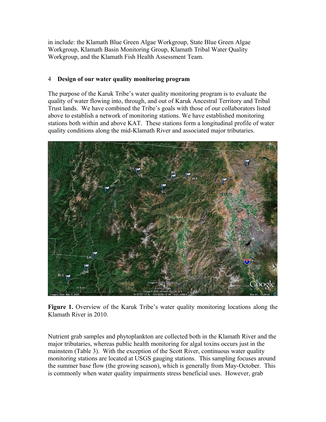in include: the Klamath Blue Green Algae Workgroup, State Blue Green Algae Workgroup, Klamath Basin Monitoring Group, Klamath Tribal Water Quality Workgroup, and the Klamath Fish Health Assessment Team.

#### 4 **Design of our water quality monitoring program**

The purpose of the Karuk Tribe's water quality monitoring program is to evaluate the quality of water flowing into, through, and out of Karuk Ancestral Territory and Tribal Trust lands. We have combined the Tribe's goals with those of our collaborators listed above to establish a network of monitoring stations. We have established monitoring stations both within and above KAT. These stations form a longitudinal profile of water quality conditions along the mid-Klamath River and associated major tributaries.



**Figure 1.** Overview of the Karuk Tribe's water quality monitoring locations along the Klamath River in 2010.

Nutrient grab samples and phytoplankton are collected both in the Klamath River and the major tributaries, whereas public health monitoring for algal toxins occurs just in the mainstem (Table 3). With the exception of the Scott River, continuous water quality monitoring stations are located at USGS gauging stations. This sampling focuses around the summer base flow (the growing season), which is generally from May-October. This is commonly when water quality impairments stress beneficial uses. However, grab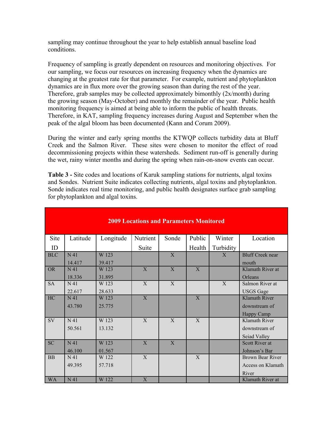sampling may continue throughout the year to help establish annual baseline load conditions.

Frequency of sampling is greatly dependent on resources and monitoring objectives. For our sampling, we focus our resources on increasing frequency when the dynamics are changing at the greatest rate for that parameter. For example, nutrient and phytoplankton dynamics are in flux more over the growing season than during the rest of the year. Therefore, grab samples may be collected approximately bimonthly (2x/month) during the growing season (May-October) and monthly the remainder of the year. Public health monitoring frequency is aimed at being able to inform the public of health threats. Therefore, in KAT, sampling frequency increases during August and September when the peak of the algal bloom has been documented (Kann and Corum 2009).

During the winter and early spring months the KTWQP collects turbidity data at Bluff Creek and the Salmon River. These sites were chosen to monitor the effect of road decommissioning projects within these watersheds. Sediment run-off is generally during the wet, rainy winter months and during the spring when rain-on-snow events can occur.

**Table 3 -** Site codes and locations of Karuk sampling stations for nutrients, algal toxins and Sondes. Nutrient Suite indicates collecting nutrients, algal toxins and phytoplankton. Sonde indicates real time monitoring, and public health designates surface grab sampling for phytoplankton and algal toxins.

| <b>2009 Locations and Parameters Monitored</b> |                 |           |              |       |              |              |                         |  |
|------------------------------------------------|-----------------|-----------|--------------|-------|--------------|--------------|-------------------------|--|
| <b>Site</b>                                    | Latitude        | Longitude | Nutrient     | Sonde | Public       | Winter       | Location                |  |
| ID                                             |                 |           | Suite        |       | Health       | Turbidity    |                         |  |
| <b>BLC</b>                                     | N <sub>41</sub> | W 123     |              | X     |              | $\mathbf{X}$ | <b>Bluff Creek near</b> |  |
|                                                | 14.417          | 39.417    |              |       |              |              | mouth                   |  |
| <b>OR</b>                                      | N <sub>41</sub> | W 123     | $\mathbf{X}$ | X     | $\mathbf{X}$ |              | Klamath River at        |  |
|                                                | 18.336          | 31.895    |              |       |              |              | Orleans                 |  |
| <b>SA</b>                                      | N <sub>41</sub> | W 123     | $\mathbf{X}$ | X     |              | X            | Salmon River at         |  |
|                                                | 22.617          | 28.633    |              |       |              |              | <b>USGS</b> Gage        |  |
| HC                                             | N <sub>41</sub> | W 123     | X            |       | X            |              | <b>Klamath River</b>    |  |
|                                                | 43.780          | 25.775    |              |       |              |              | downstream of           |  |
|                                                |                 |           |              |       |              |              | <b>Happy Camp</b>       |  |
| SV                                             | N <sub>41</sub> | W 123     | $\mathbf{X}$ | X     | X            |              | Klamath River           |  |
|                                                | 50.561          | 13.132    |              |       |              |              | downstream of           |  |
|                                                |                 |           |              |       |              |              | Seiad Valley            |  |
| <b>SC</b>                                      | N <sub>41</sub> | W 123     | X            | X     |              |              | <b>Scott River at</b>   |  |
|                                                | 46.100          | 01.567    |              |       |              |              | Johnson's Bar           |  |
| <b>BB</b>                                      | N <sub>41</sub> | W 122     | X            |       | X            |              | Brown Bear River        |  |
|                                                | 49.395          | 57.718    |              |       |              |              | Access on Klamath       |  |
|                                                |                 |           |              |       |              |              | River                   |  |
| <b>WA</b>                                      | N 41            | W 122     | X            |       |              |              | Klamath River at        |  |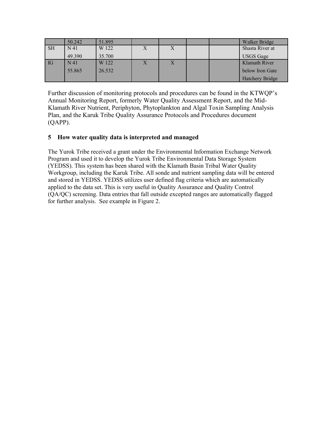|                             | 50.242          | 51.895 |                |  | Walker Bridge          |
|-----------------------------|-----------------|--------|----------------|--|------------------------|
| $\overline{\phantom{a}}$ SH | N <sub>41</sub> | W 122  | X              |  | Shasta River at        |
|                             | 49.390          | 35.700 |                |  | <b>USGS</b> Gage       |
| $\overline{\text{IG}}$      | N <sub>41</sub> | W 122  | $\overline{X}$ |  | Klamath River          |
|                             | 55.865          | 26.532 |                |  | below Iron Gate        |
|                             |                 |        |                |  | <b>Hatchery Bridge</b> |

Further discussion of monitoring protocols and procedures can be found in the KTWQP's Annual Monitoring Report, formerly Water Quality Assessment Report, and the Mid-Klamath River Nutrient, Periphyton, Phytoplankton and Algal Toxin Sampling Analysis Plan, and the Karuk Tribe Quality Assurance Protocols and Procedures document (QAPP).

#### **5 How water quality data is interpreted and managed**

The Yurok Tribe received a grant under the Environmental Information Exchange Network Program and used it to develop the Yurok Tribe Environmental Data Storage System (YEDSS). This system has been shared with the Klamath Basin Tribal Water Quality Workgroup, including the Karuk Tribe. All sonde and nutrient sampling data will be entered and stored in YEDSS. YEDSS utilizes user defined flag criteria which are automatically applied to the data set. This is very useful in Quality Assurance and Quality Control (QA/QC) screening. Data entries that fall outside excepted ranges are automatically flagged for further analysis. See example in Figure 2.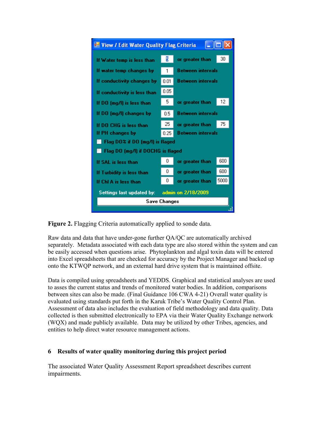

**Figure 2.** Flagging Criteria automatically applied to sonde data.

Raw data and data that have under-gone further QA/QC are automatically archived separately. Metadata associated with each data type are also stored within the system and can be easily accessed when questions arise. Phytoplankton and algal toxin data will be entered into Excel spreadsheets that are checked for accuracy by the Project Manager and backed up onto the KTWQP network, and an external hard drive system that is maintained offsite.

Data is compiled using spreadsheets and YEDDS. Graphical and statistical analyses are used to asses the current status and trends of monitored water bodies. In addition, comparisons between sites can also be made. (Final Guidance 106 CWA 4-21) Overall water quality is evaluated using standards put forth in the Karuk Tribe's Water Quality Control Plan. Assessment of data also includes the evaluation of field methodology and data quality. Data collected is then submitted electronically to EPA via their Water Quality Exchange network (WQX) and made publicly available. Data may be utilized by other Tribes, agencies, and entities to help direct water resource management actions.

#### **6 Results of water quality monitoring during this project period**

The associated Water Quality Assessment Report spreadsheet describes current impairments.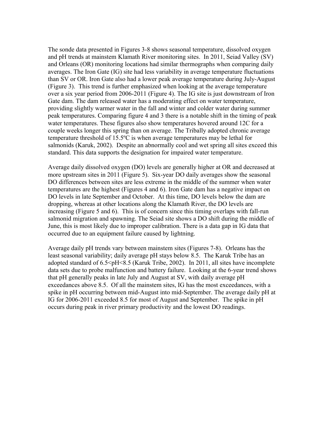The sonde data presented in Figures 3-8 shows seasonal temperature, dissolved oxygen and pH trends at mainstem Klamath River monitoring sites. In 2011, Seiad Valley (SV) and Orleans (OR) monitoring locations had similar thermographs when comparing daily averages. The Iron Gate (IG) site had less variability in average temperature fluctuations than SV or OR. Iron Gate also had a lower peak average temperature during July-August (Figure 3). This trend is further emphasized when looking at the average temperature over a six year period from 2006-2011 (Figure 4). The IG site is just downstream of Iron Gate dam. The dam released water has a moderating effect on water temperature, providing slightly warmer water in the fall and winter and colder water during summer peak temperatures. Comparing figure 4 and 3 there is a notable shift in the timing of peak water temperatures. These figures also show temperatures hovered around 12C for a couple weeks longer this spring than on average. The Tribally adopted chronic average temperature threshold of 15.5ºC is when average temperatures may be lethal for salmonids (Karuk, 2002). Despite an abnormally cool and wet spring all sites exceed this standard. This data supports the designation for impaired water temperature.

Average daily dissolved oxygen (DO) levels are generally higher at OR and decreased at more upstream sites in 2011 (Figure 5). Six-year DO daily averages show the seasonal DO differences between sites are less extreme in the middle of the summer when water temperatures are the highest (Figures 4 and 6). Iron Gate dam has a negative impact on DO levels in late September and October. At this time, DO levels below the dam are dropping, whereas at other locations along the Klamath River, the DO levels are increasing (Figure 5 and 6). This is of concern since this timing overlaps with fall-run salmonid migration and spawning. The Seiad site shows a DO shift during the middle of June, this is most likely due to improper calibration. There is a data gap in IG data that occurred due to an equipment failure caused by lightning.

Average daily pH trends vary between mainstem sites (Figures 7-8). Orleans has the least seasonal variability; daily average pH stays below 8.5. The Karuk Tribe has an adopted standard of  $6.5 \le pH \le 8.5$  (Karuk Tribe, 2002). In 2011, all sites have incomplete data sets due to probe malfunction and battery failure. Looking at the 6-year trend shows that pH generally peaks in late July and August at SV, with daily average pH exceedances above 8.5. Of all the mainstem sites, IG has the most exceedances, with a spike in pH occurring between mid-August into mid-September. The average daily pH at IG for 2006-2011 exceeded 8.5 for most of August and September. The spike in pH occurs during peak in river primary productivity and the lowest DO readings.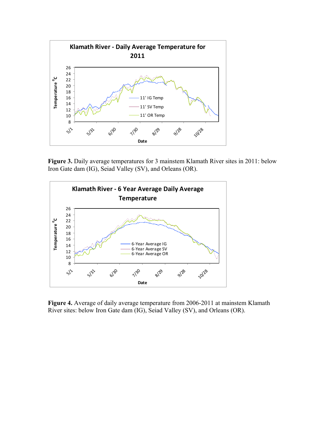

**Figure 3.** Daily average temperatures for 3 mainstem Klamath River sites in 2011: below Iron Gate dam (IG), Seiad Valley (SV), and Orleans (OR).



**Figure 4.** Average of daily average temperature from 2006-2011 at mainstem Klamath River sites: below Iron Gate dam (IG), Seiad Valley (SV), and Orleans (OR).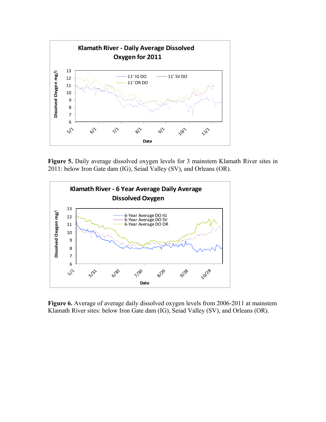

Figure 5. Daily average dissolved oxygen levels for 3 mainstem Klamath River sites in 2011: below Iron Gate dam (IG), Seiad Valley (SV), and Orleans (OR).



**Figure 6.** Average of average daily dissolved oxygen levels from 2006-2011 at mainstem Klamath River sites: below Iron Gate dam (IG), Seiad Valley (SV), and Orleans (OR).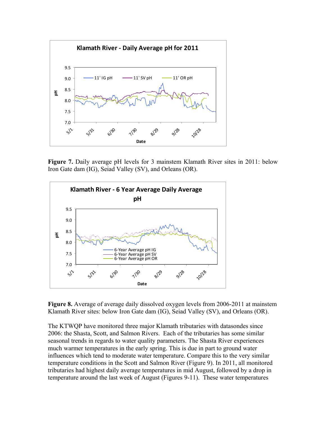

**Figure 7.** Daily average pH levels for 3 mainstem Klamath River sites in 2011: below Iron Gate dam (IG), Seiad Valley (SV), and Orleans (OR).



**Figure 8.** Average of average daily dissolved oxygen levels from 2006-2011 at mainstem Klamath River sites: below Iron Gate dam (IG), Seiad Valley (SV), and Orleans (OR).

The KTWQP have monitored three major Klamath tributaries with datasondes since 2006: the Shasta, Scott, and Salmon Rivers. Each of the tributaries has some similar seasonal trends in regards to water quality parameters. The Shasta River experiences much warmer temperatures in the early spring. This is due in part to ground water influences which tend to moderate water temperature. Compare this to the very similar temperature conditions in the Scott and Salmon River (Figure 9). In 2011, all monitored tributaries had highest daily average temperatures in mid August, followed by a drop in temperature around the last week of August (Figures 9-11). These water temperatures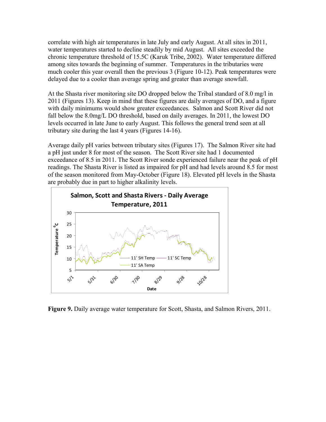correlate with high air temperatures in late July and early August. At all sites in 2011, water temperatures started to decline steadily by mid August. All sites exceeded the chronic temperature threshold of 15.5C (Karuk Tribe, 2002). Water temperature differed among sites towards the beginning of summer. Temperatures in the tributaries were much cooler this year overall then the previous 3 (Figure 10-12). Peak temperatures were delayed due to a cooler than average spring and greater than average snowfall.

At the Shasta river monitoring site DO dropped below the Tribal standard of 8.0 mg/l in 2011 (Figures 13). Keep in mind that these figures are daily averages of DO, and a figure with daily minimums would show greater exceedances. Salmon and Scott River did not fall below the 8.0mg/L DO threshold, based on daily averages. In 2011, the lowest DO levels occurred in late June to early August. This follows the general trend seen at all tributary site during the last 4 years (Figures 14-16).

Average daily pH varies between tributary sites (Figures 17). The Salmon River site had a pH just under 8 for most of the season. The Scott River site had 1 documented exceedance of 8.5 in 2011. The Scott River sonde experienced failure near the peak of pH readings. The Shasta River is listed as impaired for pH and had levels around 8.5 for most of the season monitored from May-October (Figure 18). Elevated pH levels in the Shasta are probably due in part to higher alkalinity levels.



**Figure 9.** Daily average water temperature for Scott, Shasta, and Salmon Rivers, 2011.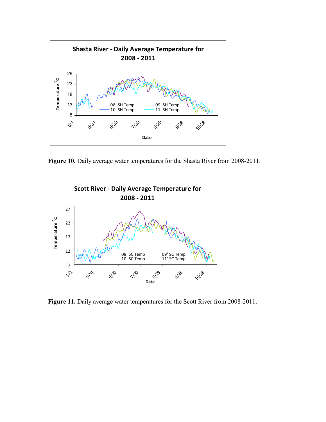

Figure 10. Daily average water temperatures for the Shasta River from 2008-2011.



Figure 11. Daily average water temperatures for the Scott River from 2008-2011.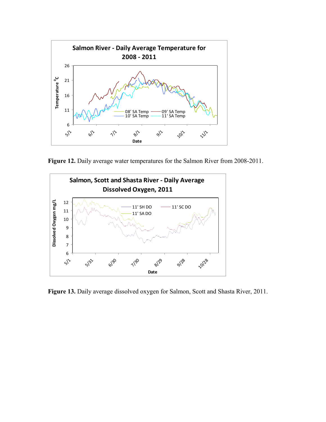

Figure 12. Daily average water temperatures for the Salmon River from 2008-2011.



**Figure 13.** Daily average dissolved oxygen for Salmon, Scott and Shasta River, 2011.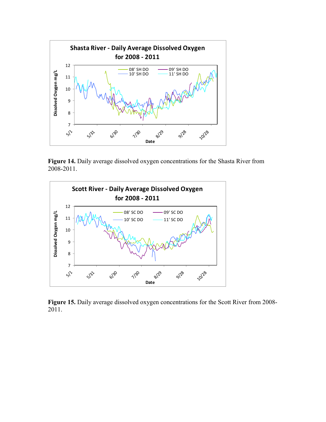

**Figure 14.** Daily average dissolved oxygen concentrations for the Shasta River from 2008-2011.



**Figure 15.** Daily average dissolved oxygen concentrations for the Scott River from 2008- 2011.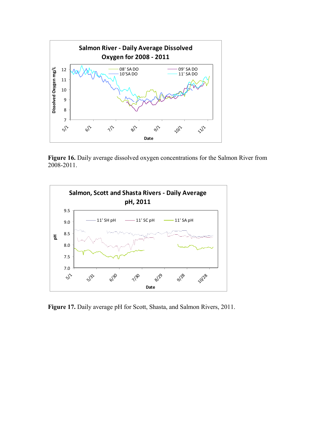

Figure 16. Daily average dissolved oxygen concentrations for the Salmon River from 2008-2011.



**Figure 17.** Daily average pH for Scott, Shasta, and Salmon Rivers, 2011.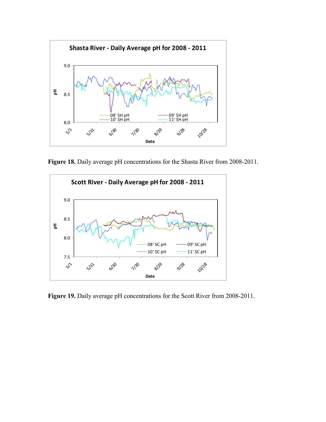

Figure 18. Daily average pH concentrations for the Shasta River from 2008-2011.



Figure 19. Daily average pH concentrations for the Scott River from 2008-2011.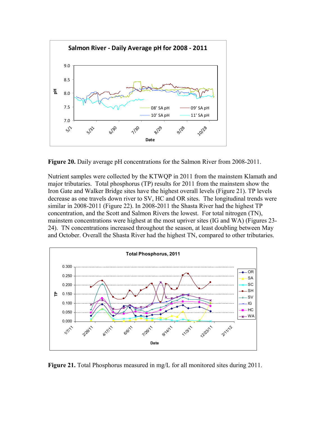

**Figure 20.** Daily average pH concentrations for the Salmon River from 2008-2011.

Nutrient samples were collected by the KTWQP in 2011 from the mainstem Klamath and major tributaries. Total phosphorus (TP) results for 2011 from the mainstem show the Iron Gate and Walker Bridge sites have the highest overall levels (Figure 21). TP levels decrease as one travels down river to SV, HC and OR sites. The longitudinal trends were similar in 2008-2011 (Figure 22). In 2008-2011 the Shasta River had the highest TP concentration, and the Scott and Salmon Rivers the lowest. For total nitrogen (TN), mainstem concentrations were highest at the most upriver sites (IG and WA) (Figures 23- 24). TN concentrations increased throughout the season, at least doubling between May and October. Overall the Shasta River had the highest TN, compared to other tributaries.



**Figure 21.** Total Phosphorus measured in mg/L for all monitored sites during 2011.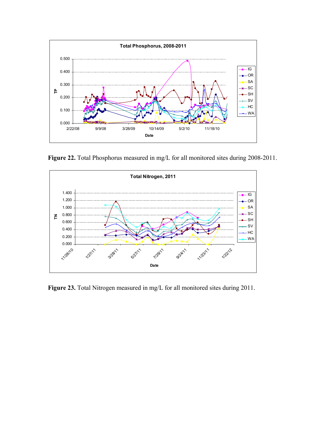

Figure 22. Total Phosphorus measured in mg/L for all monitored sites during 2008-2011.



Figure 23. Total Nitrogen measured in mg/L for all monitored sites during 2011.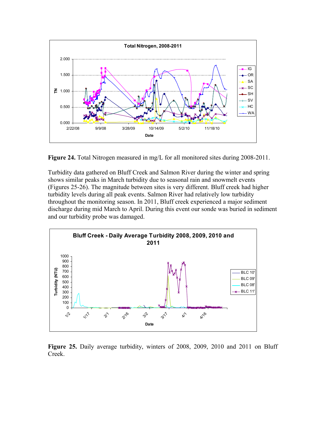

**Figure 24.** Total Nitrogen measured in mg/L for all monitored sites during 2008-2011.

Turbidity data gathered on Bluff Creek and Salmon River during the winter and spring shows similar peaks in March turbidity due to seasonal rain and snowmelt events (Figures 25-26). The magnitude between sites is very different. Bluff creek had higher turbidity levels during all peak events. Salmon River had relatively low turbidity throughout the monitoring season. In 2011, Bluff creek experienced a major sediment discharge during mid March to April. During this event our sonde was buried in sediment and our turbidity probe was damaged.



**Figure 25.** Daily average turbidity, winters of 2008, 2009, 2010 and 2011 on Bluff Creek.